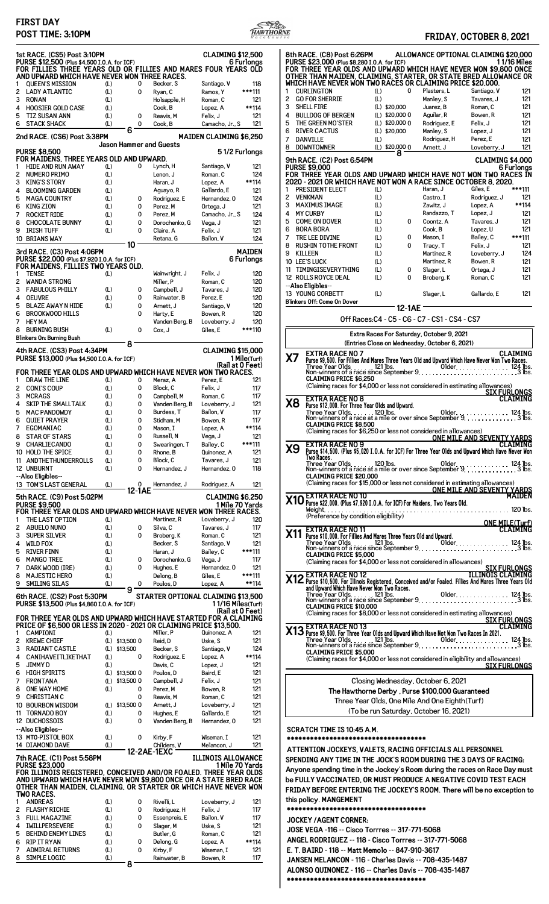## **FIRST DAY**



| POST TIME: 3:10PM                                                                                                                                                                                         |                                    |                                       |                                | <u>HAWTHORNE</u> | FRIDAY, OCTOBER 8, 2021                                                                                                                                                           |
|-----------------------------------------------------------------------------------------------------------------------------------------------------------------------------------------------------------|------------------------------------|---------------------------------------|--------------------------------|------------------|-----------------------------------------------------------------------------------------------------------------------------------------------------------------------------------|
| 1st RACE. (CS5) Post 3:10PM                                                                                                                                                                               |                                    |                                       | <b>CLAIMING \$12,500</b>       |                  | 8th RACE. (C8) Post 6:26PM<br>ALLOWANCE OPTIONAL CLAIMING \$20,00                                                                                                                 |
| PURSE \$12,500 (Plus \$4,500 I.O.A. for ICF)<br>FOR FILLIES THREE YEARS OLD OR FILLIES AND MARES FOUR YEARS OLD                                                                                           |                                    |                                       |                                | 6 Furlongs       | PURSE \$23,000 (Plus \$8,280 I.O.A. for ICF)<br>11/16 Mile<br>FOR THREE YEAR OLDS AND UPWARD WHICH HAVE NEVER WON \$9,800 ONC                                                     |
| AND UPWARD WHICH HAVE NEVER WON THREE RACES.                                                                                                                                                              |                                    |                                       |                                |                  | OTHER THAN MAIDEN, CLAIMING, STARTER, OR STATE BRED ALLOWANCE OI                                                                                                                  |
| <b>QUEEN'S MISSION</b><br>2 LADY ATLANTIC                                                                                                                                                                 | (L)<br>(L)                         | 0<br>Becker, S<br>0<br>Ryan, C        | Santiago, V<br>Ramos, Y        | 118<br>***111    | WHICH HAVE NEVER WON TWO RACES OR CLAIMING PRICE \$20,000.<br><b>CURLINGTON</b><br>(L)<br>0<br>Plasters, L<br>Santiago, V<br>$12^{\circ}$<br>1                                    |
| 3<br>RONAN                                                                                                                                                                                                | (L)                                | Holsapple, H                          | Roman, C                       | 121              | $\overline{c}$<br><b>GO FOR SHERRIE</b><br>(L)<br>Manley, S<br>$12^{\circ}$<br>Tavares, J                                                                                         |
| <b>HOOSIER GOLD CASE</b><br>4                                                                                                                                                                             | (L)                                | Cook, B                               | Lopez, A                       | **114            | $12^{\circ}$<br>3<br>SHELL FIRE<br>(L) \$20,000<br>Juarez, B<br>Roman, C                                                                                                          |
| 5<br>TIZ SUSAN ANN<br>6 STACK SHACK                                                                                                                                                                       | (L)<br>(L)                         | 0<br>Reavis, M<br>0<br>Cook, B        | Felix, J<br>Camacho, Jr., S    | 121<br>121       | 4<br><b>BULLDOG OF BERGEN</b><br>(L) \$20,000 0<br>$12^{\circ}$<br>Aguilar, R<br>Bowen, R<br>5<br>THE GREEN MO'STER<br>(L) \$20,000 0<br>$12^{\circ}$<br>Rodriguez, E<br>Felix, J |
|                                                                                                                                                                                                           | 6                                  |                                       |                                |                  | 6<br><b>RIVER CACTUS</b><br>(L) \$20,000<br>$12^{\circ}$<br>Manley, S<br>Lopez, J                                                                                                 |
| 2nd RACE. (CS6) Post 3:38PM                                                                                                                                                                               |                                    | <b>Jason Hammer and Guests</b>        | <b>MAIDEN CLAIMING \$6,250</b> |                  | 7<br><b>DANVILLE</b><br>Rodriguez, H<br>Perez, E<br>$12^{\circ}$<br>(L)                                                                                                           |
| <b>PURSE \$8,500</b>                                                                                                                                                                                      |                                    |                                       |                                | 51/2 Furlongs    | 8<br><b>DOWNTOWNER</b><br>(L) \$20,000 0<br>Arnett, J<br>Loveberry, J<br>$12^{\circ}$<br>8                                                                                        |
| FOR MAIDENS, THREE YEARS OLD AND UPWARD.<br><b>HIDE AND RUN AWAY</b>                                                                                                                                      | (L)                                | 0<br>Lynch, H                         | Santiago, V                    | 121              | CLAIMING \$4,00<br>9th RACE. (C2) Post 6:54PM<br><b>PURSE \$9,000</b><br>6 Furlong                                                                                                |
| NUMERO PRIMO<br>2                                                                                                                                                                                         | (L)                                | Lenon, J                              | Roman, C                       | 124              | FOR THREE YEAR OLDS AND UPWARD WHICH HAVE NOT WON TWO RACES I                                                                                                                     |
| 3<br><b>KING'S STORY</b>                                                                                                                                                                                  | (L)                                | Haran, J                              | Lopez, A                       | **114            | 2020 - 2021 OR WHICH HAVE NOT WON A RACE SINCE OCTOBER 8, 2020.<br><b>PRESIDENT ELECT</b><br>(L)<br>Giles, E<br>***111<br>1<br>Haran, J                                           |
| 4<br><b>BLOOMING GARDEN</b><br>5<br><b>MAGA COUNTRY</b>                                                                                                                                                   | (L)<br>(L)                         | Aguayo, R<br>Rodriguez, E<br>0        | Gallardo, E<br>Hernandez, 0    | 121<br>124       | $\overline{c}$<br><b>VENKMAN</b><br>(L)<br>Rodriguez, J<br>$12^{\circ}$<br>Castro, I                                                                                              |
| KING ZION<br>6                                                                                                                                                                                            | (L)                                | 0<br>Perez, M                         | Ortega, J                      | 121              | 3<br><b>MAXIMUS IMAGE</b><br>(L)<br>Zawitz, J<br>Lopez, A<br>**114                                                                                                                |
| <b>ROCKET RIDE</b><br>7<br><b>CHOCOLATE BUNNY</b><br>8                                                                                                                                                    | (L)<br>(L)                         | 0<br>Perez, M<br>0<br>Dorochenko, G   | Camacho, Jr., S<br>Vega, J     | 124<br>121       | 4<br><b>MY CURBY</b><br>(L)<br>Randazzo, T<br>Lopez, J<br>$12^{\circ}$<br>5<br><b>COME ON DOVER</b><br>(L)<br>0<br>Coontz. A<br>Tavares. J<br>$12^{\circ}$                        |
| 9<br>IRISH TUFF                                                                                                                                                                                           | (L)                                | 0<br>Claire, A                        | Felix, J                       | 121              | $12^{\circ}$<br>6<br><b>BORA BORA</b><br>(L)<br>Cook. B<br>Lopez, U                                                                                                               |
| 10 BRIANS WAY                                                                                                                                                                                             | 10                                 | Retana, G                             | Bailon, V                      | 124              | 7<br>TRE LEE DIVINE<br>(L)<br>0<br>Bailey, C<br>***111<br>Mason. I                                                                                                                |
| 3rd RACE. (C3) Post 4:06PM                                                                                                                                                                                |                                    |                                       |                                | <b>MAIDEN</b>    | 8<br><b>RUSHIN TOTHE FRONT</b><br>$12^{\circ}$<br>(L)<br>0<br>Felix, J<br>Tracy, T<br>9<br>KILLEEN<br>(L)<br>12 <sub>1</sub><br>Martinez, R<br>Loveberry, J                       |
| PURSE \$22,000 (Plus \$7,920 I.O.A. for ICF)<br>FOR MAIDENS, FILLIES TWO YEARS OLD.                                                                                                                       |                                    |                                       |                                | 6 Furlongs       | $12^{\circ}$<br><b>10 LEE'S LUCK</b><br>(L)<br>Martinez, R<br>Bowen, R                                                                                                            |
| <b>TENSE</b><br>$\mathbf{1}$                                                                                                                                                                              | (L)                                | Wainwright, J                         | Felix, J                       | 120              | TIMINGISEVERYTHING<br>(L)<br>0<br>$12^{\circ}$<br>11<br>Slager, L<br>Ortega, J<br>12 ROLLS ROYCE DEAL<br>(L)<br>0<br>Broberg, K<br>Roman, C<br>$12^{\circ}$                       |
| <b>WANDA STRONG</b><br>2                                                                                                                                                                                  |                                    | Miller, P                             | Roman, C                       | 120              | --Also Eligibles--                                                                                                                                                                |
| 3<br><b>FABULOUS PHILLY</b><br><b>OEUVRE</b><br>4                                                                                                                                                         | (L)<br>(L)                         | 0<br>Campbell, J<br>0<br>Rainwater, B | Tavares, J<br>Perez, E         | 120<br>120       | 13 YOUNG CORBETT<br>(L)<br>$12^{\circ}$<br>Slager, L<br>Gallardo, E                                                                                                               |
| 5<br><b>BLAZE AWAY N HIDE</b>                                                                                                                                                                             | (L)                                | 0<br>Arnett, J                        | Santiago, V                    | 120              | Blinkers Off: Come On Dover<br>12-1AE                                                                                                                                             |
| <b>BROOKWOOD HILLS</b><br>6                                                                                                                                                                               |                                    | 0<br>Harty, E                         | Bowen, R                       | 120              | Off Races: C4 - C5 - C6 - C7 - CS1 - CS4 - CS7                                                                                                                                    |
| <b>HEY MA</b><br>7<br>8 BURNING BUSH                                                                                                                                                                      | (L)                                | Vanden Berg, B<br>0<br>Cox, J         | Loveberry, J<br>Giles, E       | 120<br>***110    |                                                                                                                                                                                   |
| Blinkers On: Burning Bush                                                                                                                                                                                 |                                    |                                       |                                |                  | Extra Races For Saturday, October 9, 2021<br>(Entries Close on Wednesday, October 6, 2021)                                                                                        |
| 4th RACE. (CS3) Post 4:34PM                                                                                                                                                                               | 8                                  |                                       | <b>CLAIMING \$15,000</b>       |                  | <b>CLAIMIN</b>                                                                                                                                                                    |
| PURSE \$13,000 (Plus \$4,500 I.O.A. for ICF)                                                                                                                                                              |                                    |                                       |                                | 1 Mile(Turf)     | X7                                                                                                                                                                                |
| FOR THREE YEAR OLDS AND UPWARD WHICH HAVE NEVER WON TWO RACES.                                                                                                                                            |                                    |                                       |                                | (Rail at 0 Feet) | $124$ lbs<br>3 lbs                                                                                                                                                                |
| DRAW THE LINE                                                                                                                                                                                             | (L)                                | 0<br>Meraz, A                         | Perez, E                       | 121              | <b>CLAIMING PRICE \$6.250</b><br>(Claiming races for \$4,000 or less not considered in estimating allowances)                                                                     |
| 2 CONI'S COUP<br>3<br><b>MCRAGS</b>                                                                                                                                                                       | (L)<br>(L)                         | 0<br>Block, C<br>0<br>Campbell, M     | Felix, J<br>Roman, C           | 117<br>117       | SIX FURLONGS<br>CLAIMIN                                                                                                                                                           |
| SKIP THE SMALL TALK<br>4                                                                                                                                                                                  | (L)                                | 0<br>Vanden Berg, B                   | Loveberry, J                   | 121              | <b>EXTRA RACE NO 8</b><br>Purse \$12,000. For Three Year Olds and Upward.<br><b>X8</b>                                                                                            |
| <b>MAC PANDOWDY</b><br>5                                                                                                                                                                                  | (L)                                | 0<br>Burdess, T                       | Bailon, V                      | 117              | . 124 lbs<br>. 3 lbs                                                                                                                                                              |
| QUIET PRAYER<br>6<br>EGOMANIAC<br>7                                                                                                                                                                       | (L)<br>(L)                         | 0<br>Stidham, M<br>0<br>Mason, I      | Bowen, R<br>Lopez, A           | 117<br>**114     | <b>CLAIMING PRICE \$8.500</b>                                                                                                                                                     |
| 8<br>STAR OF STARS                                                                                                                                                                                        | (L)                                | 0<br>Russell, N                       | Vega, J                        | 121              | (Claiming races for \$6,250 or less not considered in allowances)<br>ONE MILE AND SEVENTY YARDS                                                                                   |
| 9<br><b>CHARLIECANDO</b><br>10 HOLD THE SPICE                                                                                                                                                             | (L)                                | 0<br>Swearingen, T<br>0               | Bailey, C                      | ***111           | <b>EXTRA RACE NO 9</b><br><b>CLAIMIN</b><br>X9<br>Purse \$14,500. (Plus \$5,020 I.O.A. for ICF) For Three Year Olds and Upward Which Have Never Wo                                |
| 11 AND THE THUNDER ROLLS                                                                                                                                                                                  | (L)<br>(L)                         | Rhone, B<br>0<br>Block, C             | Quinonez, A<br>Tavares, J      | 121<br>121       | Two Races.                                                                                                                                                                        |
| 12 UNBURNT                                                                                                                                                                                                | (L)                                | 0<br>Hernandez, J                     | Hernandez, 0                   | 118              |                                                                                                                                                                                   |
| --Also Eligibles--<br>13 TOM'S LAST GENERAL                                                                                                                                                               | (L)                                | 0                                     |                                |                  | <b>CLAIMING PRICE \$20,000</b><br>(Claiming races for \$15,000 or less not considered in estimating allowances)                                                                   |
|                                                                                                                                                                                                           |                                    | Hernandez, J<br>12-1AE                | Rodriguez, A                   | 121              | <u>ONE MILE AND SEVENTY YARD:</u><br>MAIDEI                                                                                                                                       |
| 5th RACE. (C9) Post 5:02PM<br><b>PURSE \$9,500</b>                                                                                                                                                        |                                    |                                       | CLAIMING \$6,250               | 1 Mile 70 Yards  | <b>X10</b> EXTRA RACE NO 10<br><b>X10</b> Purse \$22,000. (Plus \$7,920 I.O.A. for ICF) For Maidens, Two Years Old.                                                               |
| FOR THREE YEAR OLDS AND UPWARD WHICH HAVE NEVER WON THREE RACES.                                                                                                                                          |                                    |                                       |                                |                  | (Preference by condition eligibility)                                                                                                                                             |
| THE LAST OPTION<br>2 ABUELO NUNO                                                                                                                                                                          | (L)<br>(L)                         | Martinez, R<br>Silva, C<br>0          | Loveberry, J<br>Tavares, J     | 120<br>117       | <b>ONE MILE (Turf</b>                                                                                                                                                             |
| 3<br>SUPER SILVER                                                                                                                                                                                         | (L)                                | 0<br>Broberg, K                       | Roman, C                       | 121              | X11                                                                                                                                                                               |
| 4<br>WILD FOX                                                                                                                                                                                             | (L)                                | Becker, S                             | Santiago, V                    | 121              |                                                                                                                                                                                   |
| 5<br>RIVER FINN<br>6<br>MANGO TREE                                                                                                                                                                        | (L)<br>(L)                         | Haran, J<br>0<br>Dorochenko, G        | Bailey, C<br>Vega, J           | ***111<br>117    | <b>CLAIMING PRICE \$5,000</b><br>(Claiming races for \$4,000 or less not considered in allowances)                                                                                |
| 7<br>DARK WOOD (IRE)                                                                                                                                                                                      | (L)                                | 0<br>Hughes, E                        | Hernandez, 0                   | 121              | <b>SIX FURLONG</b>                                                                                                                                                                |
| <b>MAJESTIC HERO</b><br>8                                                                                                                                                                                 | (L)                                | Delong, B                             | Giles, E                       | ***111           | <b>X12</b> EXTRA RACE NO 12<br>Purse \$10,500. For Illinois Registered, Conceived and/or Foaled. Fillies And Mares Three Years 01<br>and Upward Which Have Never Won Two Races.   |
| 9 SMILING SILAS                                                                                                                                                                                           | (L)<br>9                           | Poulos, D<br>0                        | Lopez, A                       | **114            |                                                                                                                                                                                   |
| 6th RACE. (CS2) Post 5:30PM<br>PURSE \$13,500 (Plus \$4,860 I.O.A. for ICF)                                                                                                                               |                                    | STARTER OPTIONAL CLAIMING \$13,500    | 11/16 Miles(Turf)              |                  |                                                                                                                                                                                   |
|                                                                                                                                                                                                           |                                    |                                       |                                | (Rail at 0 Feet) | <b>CLAIMING PRICE \$10,000</b><br>(Claiming races for \$8,000 or less not considered in estimating allowances)                                                                    |
| FOR THREE YEAR OLDS AND UPWARD WHICH HAVE STARTED FOR A CLAIMING<br>PRICE OF \$6,500 OR LESS IN 2020 - 2021 OR CLAIMING PRICE \$13,500.                                                                   |                                    |                                       |                                |                  | <b>SIX FURLONG</b>                                                                                                                                                                |
| CAMPIONI                                                                                                                                                                                                  | (L)                                | Miller, P                             | Quinonez, A                    | 121              |                                                                                                                                                                                   |
| 2 KREWE CHIEF                                                                                                                                                                                             | (L) \$13,500 0                     | Reid, D                               | Uske, S                        | 121              |                                                                                                                                                                                   |
| 3<br><b>RADIANT CASTLE</b><br>CANIHAVEITLIKETHAT<br>4                                                                                                                                                     | $(L)$ \$13,500<br>(L)              | Becker, S<br>0<br>Rodriguez, E        | Santiago, V<br>Lopez, A        | 124<br>**114     | <b>CLAIMING PRICE \$5,000</b><br>(Claiming races for \$4,000 or less not considered in eligibility and allowances)                                                                |
| 5<br>JIMMY D                                                                                                                                                                                              | (L)                                | Davis, C                              | Lopez, J                       | 121              | <u>SIX FURLONG</u>                                                                                                                                                                |
| HIGH SPIRITS<br>6<br>7<br>FRONTANA                                                                                                                                                                        | $(L)$ \$13,500 0<br>(L) \$13,500 0 | Poulos, D<br>Campbell, J              | Baird, E<br>Felix, J           | 121<br>121       | Closing Wednesday, October 6, 2021                                                                                                                                                |
| 8 ONE WAY HOME                                                                                                                                                                                            | (L)                                | 0<br>Perez, M                         | Bowen, R                       | 121              | The Hawthorne Derby, Purse \$100,000 Guaranteed                                                                                                                                   |
| 9<br>CHRISTIAN C                                                                                                                                                                                          |                                    | 0<br>Reavis, M                        | Roman, C                       | 121              | Three Year Olds, One Mile And One Eighth (Turf)                                                                                                                                   |
| 10 BOURBON WISDOM                                                                                                                                                                                         | $(L)$ \$13,500 0<br>(L)            | Arnett, J<br>0<br>Hughes, E           | Loveberry, J<br>Gallardo, E    | 121<br>121       | (To be run Saturday, October 16, 2021)                                                                                                                                            |
| 11 TORNADO BOY<br>12 DUCHOSSOIS                                                                                                                                                                           | (L)                                | 0<br>Vanden Berg, B                   | Hernandez, 0                   | 121              |                                                                                                                                                                                   |
| --Also Eligibles--                                                                                                                                                                                        |                                    |                                       |                                |                  | SCRATCH TIME IS 10:45 A.M.                                                                                                                                                        |
| 13 MTO-PISTOL BOX                                                                                                                                                                                         | (L)                                | 0<br>Kirby, F                         | Wiseman, I                     | 121              | ***********************************                                                                                                                                               |
| 14 DIAMOND DAVE                                                                                                                                                                                           | (L)                                | Childers, V<br>12-2AE-1EXC            | Melancon, J                    | 121              | ATTENTION JOCKEYS, VALETS, RACING OFFICIALS ALL PERSONNEL                                                                                                                         |
| 7th RACE. (C1) Post 5:58PM<br><b>PURSE \$23,000</b>                                                                                                                                                       |                                    |                                       | <b>ILLINOIS ALLOWANCE</b>      | 1 Mile 70 Yards  | SPENDING ANY TIME IN THE JOCK'S ROOM DURING THE 3 DAYS OF RACING:                                                                                                                 |
|                                                                                                                                                                                                           |                                    |                                       |                                |                  | Anyone spending time in the Jockey's Room during the races on Race Day mus                                                                                                        |
| FOR ILLINOIS REGISTERED, CONCEIVED AND/OR FOALED. THREE YEAR OLDS<br>AND UPWARD WHICH HAVE NEVER WON \$9,800 ONCE OR A STATE BRED RACE<br>OTHER THAN MAIDEN, CLAIMING, OR STARTER OR WHICH HAVE NEVER WON |                                    |                                       |                                |                  | be FULLY VACCINATED, OR MUST PRODUCE A NEGATIVE COVID TEST EACH                                                                                                                   |
| <b>TWO RACES.</b>                                                                                                                                                                                         |                                    |                                       |                                |                  | FRIDAY BEFORE ENTERING THE JOCKEY'S ROOM. There will be no exception t                                                                                                            |
| 1 ANDREAS<br>FLASHY RICHIE                                                                                                                                                                                | (L)<br>(L)                         | 0<br>Rivelli, L<br>0                  | Loveberry, J<br>Felix, J       | 121<br>117       | this policy. MANGEMENT<br>*******************<br>***************                                                                                                                  |
| 2<br>3<br>FULL MAGAZINE                                                                                                                                                                                   | (L)                                | Rodriguez, H<br>0<br>Essenpreis, E    | Bailon, V                      | 117              | <b>JOCKEY / AGENT CORNER:</b>                                                                                                                                                     |
| IWILLPERSEVERE                                                                                                                                                                                            | (L)                                | 0<br>Slager, M                        | Uske, S                        | 121              | JOSE VEGA -116 -- Cisco Torrres -- 317-771-5068                                                                                                                                   |
| 5 BEHIND ENEMY LINES<br>6 RIP IT RYAN                                                                                                                                                                     | (L)<br>(L)                         | Butler, G<br>0<br>Delong, G           | Roman, C<br>Lopez, A           | 121<br>**114     | ANGEL RODRIGUEZ -- 118 - Cisco Torrres -- 317-771-5068                                                                                                                            |
| <b>ADMIRAL RETURNS</b><br>7                                                                                                                                                                               | (L)                                | 0<br>Kirby, F                         | Wiseman, I                     | 121              | E. T. BAIRD - 118 -- Matt Memolo -- 847-910-3617                                                                                                                                  |
| 8 SIMPLE LOGIC                                                                                                                                                                                            | (L)                                | Rainwater, B                          | Bowen, R                       | 117              | JANSEN MELANCON - 116 - Charles Davis -- 708-435-1487                                                                                                                             |

**8**

|                                                                                                                                                                                                                     | <b>8th RACE. (C8) Post 6:26PM</b><br>PURSE \$23,000 (Plus \$8,280 I.O.A. for ICF)          |                          | ALLOWANCE OPTIONAL CLAIMING \$20,000 | 1 1/16 Miles    |  |  |  |
|---------------------------------------------------------------------------------------------------------------------------------------------------------------------------------------------------------------------|--------------------------------------------------------------------------------------------|--------------------------|--------------------------------------|-----------------|--|--|--|
| FOR THREE YEAR OLDS AND UPWARD WHICH HAVE NEVER WON \$9,800 ONCE<br>OTHER THAN MAIDEN, CLAIMING, STARTER, OR STATE BRED ALLOWANCE OR<br>WHICH HAVE NEVER WON TWO RACES OR CLAIMING PRICE \$20,000.                  |                                                                                            |                          |                                      |                 |  |  |  |
| <b>CURLINGTON</b><br>1<br>2<br><b>GO FOR SHERRIE</b>                                                                                                                                                                | 0<br>(L)<br>(L)                                                                            | Plasters, L<br>Manley, S | Santiago, V<br>Tavares, J            | 121<br>121      |  |  |  |
| 3<br>SHELL FIRE                                                                                                                                                                                                     | (L) \$20,000                                                                               | Juarez, B                | Roman, C                             | 121             |  |  |  |
| 4<br><b>BULLDOG OF BERGEN</b>                                                                                                                                                                                       | $(L)$ \$20,000 0                                                                           | Aguilar, R               | Bowen, R                             | 121             |  |  |  |
| 5<br>THE GREEN MO'STER                                                                                                                                                                                              | $(L)$ \$20,000 0                                                                           | Rodriguez, E             | Felix, J                             | 121             |  |  |  |
| 6<br><b>RIVER CACTUS</b>                                                                                                                                                                                            | (L) \$20,000                                                                               | Manley, S                | Lopez, J                             | 121             |  |  |  |
| 7<br><b>DANVILLE</b>                                                                                                                                                                                                | (L)                                                                                        | Rodriguez, H             | Perez, E                             | 121             |  |  |  |
| <b>DOWNTOWNER</b><br>8                                                                                                                                                                                              | (L) \$20,000 0<br>8                                                                        | Arnett. J                | Loveberry, J                         | 121             |  |  |  |
| <b>9th RACE. (C2) Post 6:54PM</b><br><b>PURSE \$9,000</b>                                                                                                                                                           |                                                                                            |                          | <b>CLAIMING \$4,000</b>              | 6 Furlonas      |  |  |  |
| FOR THREE YEAR OLDS AND UPWARD WHICH HAVE NOT WON TWO RACES IN<br>2020 - 2021 OR WHICH HAVE NOT WON A RACE SINCE OCTOBER 8, 2020.                                                                                   |                                                                                            |                          |                                      |                 |  |  |  |
| PRESIDENT ELECT<br>1                                                                                                                                                                                                | (L)                                                                                        | Haran, J                 | Giles. E                             | ***111          |  |  |  |
| 2<br><b>VENKMAN</b>                                                                                                                                                                                                 | (L)                                                                                        | Castro, I                | Rodriguez, J                         | 121             |  |  |  |
| 3<br><b>MAXIMUS IMAGE</b>                                                                                                                                                                                           | (L)                                                                                        | Zawitz, J                | Lopez, A                             | **114           |  |  |  |
| <b>MY CURBY</b><br>4                                                                                                                                                                                                | (L)                                                                                        | Randazzo, T              | Lopez, J                             | 121             |  |  |  |
| 5<br><b>COME ON DOVER</b>                                                                                                                                                                                           | (L)<br>0                                                                                   | Coontz, A                | Tavares, J                           | 121             |  |  |  |
| <b>BORA BORA</b><br>6<br>7<br>TRE LEE DIVINE                                                                                                                                                                        | (L)<br>0                                                                                   | Cook, B<br>Mason, I      | Lopez, U<br>Bailey, C                | 121<br>***111   |  |  |  |
| <b>RUSHIN TOTHE FRONT</b><br>8                                                                                                                                                                                      | (L)<br>(L)<br>0                                                                            | Tracy, T                 | Felix, J                             | 121             |  |  |  |
| 9<br><b>KILLEEN</b>                                                                                                                                                                                                 | (L)                                                                                        | Martinez, R              | Loveberry, J                         | 124             |  |  |  |
| 10 LEE'S LUCK                                                                                                                                                                                                       | (L)                                                                                        | Martinez, R              | Bowen, R                             | 121             |  |  |  |
| TIMINGISEVERYTHING<br>11                                                                                                                                                                                            | (L)<br>0                                                                                   | Slager, L                | Ortega, J                            | 121             |  |  |  |
| 12 ROLLS ROYCE DEAL                                                                                                                                                                                                 | (L)<br>0                                                                                   | Broberg, K               | Roman, C                             | 121             |  |  |  |
| --Also Eligibles--                                                                                                                                                                                                  |                                                                                            |                          |                                      |                 |  |  |  |
| 13 YOUNG CORBETT                                                                                                                                                                                                    | (L)                                                                                        | Slager, L                | Gallardo, E                          | 121             |  |  |  |
| <b>Blinkers Off: Come On Dover</b>                                                                                                                                                                                  |                                                                                            |                          |                                      |                 |  |  |  |
|                                                                                                                                                                                                                     | 12-1AE                                                                                     |                          |                                      |                 |  |  |  |
|                                                                                                                                                                                                                     | Off Races: C4 - C5 - C6 - C7 - CS1 - CS4 - CS7                                             |                          |                                      |                 |  |  |  |
|                                                                                                                                                                                                                     | Extra Races For Saturday, October 9, 2021<br>(Entries Close on Wednesday, October 6, 2021) |                          |                                      |                 |  |  |  |
| <b>EXTRA RACE NO 7</b><br>Х7                                                                                                                                                                                        |                                                                                            |                          |                                      | CLAIMING        |  |  |  |
| Purse \$9,500. For Fillies And Mares Three Years Old and Upward Which Have Never Won Two Races.                                                                                                                     |                                                                                            |                          |                                      |                 |  |  |  |
|                                                                                                                                                                                                                     |                                                                                            |                          |                                      |                 |  |  |  |
| <b>CLAIMING PRICE \$6,250</b>                                                                                                                                                                                       |                                                                                            |                          |                                      |                 |  |  |  |
| (Claiming races for \$4,000 or less not considered in estimating allowances)                                                                                                                                        |                                                                                            |                          |                                      |                 |  |  |  |
| EXTRA RACE NO 8                                                                                                                                                                                                     |                                                                                            |                          | SIX FURLONGS<br>CLAIMING             |                 |  |  |  |
| Х8<br>Purse \$12,000. For Three Year Olds and Upward.                                                                                                                                                               |                                                                                            |                          |                                      |                 |  |  |  |
| Three Year Olds. 120 lbs.<br>Non-winners of a race at a mile or over since September 9                                                                                                                              |                                                                                            | 01der.                   |                                      | . 124 lbs.      |  |  |  |
| <b>CLAIMING PRICE \$8.500</b>                                                                                                                                                                                       |                                                                                            |                          |                                      |                 |  |  |  |
| (Claiming races for \$6,250 or less not considered in allowances)                                                                                                                                                   |                                                                                            |                          |                                      |                 |  |  |  |
| <b>EXTRA RACE NO 9</b><br>/۵                                                                                                                                                                                        |                                                                                            |                          | <u>ONE MILE AND SEVENTY YARDS</u>    | <b>CLAIMING</b> |  |  |  |
| Purse \$14,500. (Plus \$5,020 I.O.A. for ICF) For Three Year Olds and Upward Which Have Never Won<br>ΛJ                                                                                                             |                                                                                            |                          |                                      |                 |  |  |  |
| Two Races.                                                                                                                                                                                                          |                                                                                            |                          |                                      |                 |  |  |  |
|                                                                                                                                                                                                                     |                                                                                            |                          |                                      |                 |  |  |  |
| <b>CLAIMING PRICE \$20,000</b>                                                                                                                                                                                      |                                                                                            |                          |                                      |                 |  |  |  |
| (Claiming races for \$15,000 or less not considered in estimating allowances)                                                                                                                                       |                                                                                            |                          |                                      |                 |  |  |  |
|                                                                                                                                                                                                                     |                                                                                            |                          | ONE MILE AND SEVENTY YARDS           |                 |  |  |  |
|                                                                                                                                                                                                                     |                                                                                            |                          |                                      |                 |  |  |  |
|                                                                                                                                                                                                                     |                                                                                            |                          |                                      |                 |  |  |  |
|                                                                                                                                                                                                                     |                                                                                            |                          |                                      |                 |  |  |  |
| X11                                                                                                                                                                                                                 |                                                                                            |                          |                                      |                 |  |  |  |
|                                                                                                                                                                                                                     |                                                                                            |                          |                                      |                 |  |  |  |
|                                                                                                                                                                                                                     |                                                                                            |                          |                                      |                 |  |  |  |
|                                                                                                                                                                                                                     |                                                                                            |                          |                                      |                 |  |  |  |
| <b>CLAIMING PRICE \$5,000</b>                                                                                                                                                                                       |                                                                                            |                          |                                      |                 |  |  |  |
| (Claiming races for \$4,000 or less not considered in allowances)                                                                                                                                                   |                                                                                            |                          |                                      |                 |  |  |  |
|                                                                                                                                                                                                                     |                                                                                            |                          |                                      |                 |  |  |  |
|                                                                                                                                                                                                                     |                                                                                            |                          | SIA FURLUNUS<br>TILLINOIS CLAIMING   |                 |  |  |  |
|                                                                                                                                                                                                                     |                                                                                            |                          |                                      |                 |  |  |  |
|                                                                                                                                                                                                                     |                                                                                            |                          |                                      |                 |  |  |  |
| <b>CLAIMING PRICE \$10,000</b>                                                                                                                                                                                      |                                                                                            |                          |                                      |                 |  |  |  |
| (Claiming races for \$8,000 or less not considered in estimating allowances)                                                                                                                                        |                                                                                            |                          |                                      |                 |  |  |  |
|                                                                                                                                                                                                                     |                                                                                            |                          |                                      |                 |  |  |  |
|                                                                                                                                                                                                                     |                                                                                            |                          |                                      |                 |  |  |  |
| <b>X13</b> EXTRA RACE NO 13<br><b>X13</b> Purse \$9,500. For Three Year Olds and Upward Which Have Not Won Two Races In 2021.<br>Three Year Olds and 1931 the Olds and Upward Which Have Not Won Two Races In 2021. |                                                                                            |                          |                                      |                 |  |  |  |
| <b>CLAIMING PRICE \$5,000</b>                                                                                                                                                                                       |                                                                                            |                          |                                      |                 |  |  |  |
| (Claiming races for \$4,000 or less not considered in eligibility and allowances)                                                                                                                                   |                                                                                            |                          |                                      |                 |  |  |  |
|                                                                                                                                                                                                                     |                                                                                            |                          | <u>SIX FURLONGS</u>                  |                 |  |  |  |
|                                                                                                                                                                                                                     |                                                                                            |                          |                                      |                 |  |  |  |
|                                                                                                                                                                                                                     | Closing Wednesday, October 6, 2021                                                         |                          |                                      |                 |  |  |  |
|                                                                                                                                                                                                                     | The Hawthorne Derby, Purse \$100,000 Guaranteed                                            |                          |                                      |                 |  |  |  |
|                                                                                                                                                                                                                     | Three Year Olds, One Mile And One Eighth(Turf)                                             |                          |                                      |                 |  |  |  |
|                                                                                                                                                                                                                     | (To be run Saturday, October 16, 2021)                                                     |                          |                                      |                 |  |  |  |
| SCRATCH TIME IS 10:45 A.M.                                                                                                                                                                                          |                                                                                            |                          |                                      |                 |  |  |  |
| ****************************                                                                                                                                                                                        |                                                                                            |                          |                                      |                 |  |  |  |
|                                                                                                                                                                                                                     |                                                                                            |                          |                                      |                 |  |  |  |
| ATTENTION JOCKEYS. VALETS. RACING OFFICIALS ALL PERSONNEL                                                                                                                                                           |                                                                                            |                          |                                      |                 |  |  |  |
| SPENDING ANY TIME IN THE JOCK'S ROOM DURING THE 3 DAYS OF RACING:<br>Anyone spending time in the Jockey's Room during the races on Race Day must                                                                    |                                                                                            |                          |                                      |                 |  |  |  |

**JOSE VEGA -116 -- Cisco Torrres -- 317-771-5068 ANGEL RODRIGUEZ -- 118 - Cisco Torrres -- 317-771-5068 E. T. BAIRD - 118 -- Matt Memolo -- 847-910-3617 JANSEN MELANCON - 116 - Charles Davis -- 708-435-1487 ALONSO QUINONEZ - 116 -- Charles Davis -- 708-435-1487 \*\*\*\*\*\*\*\*\*\*\*\*\*\*\*\*\*\*\*\*\*\*\*\*\*\*\*\*\*\*\*\*\*\*\*\***